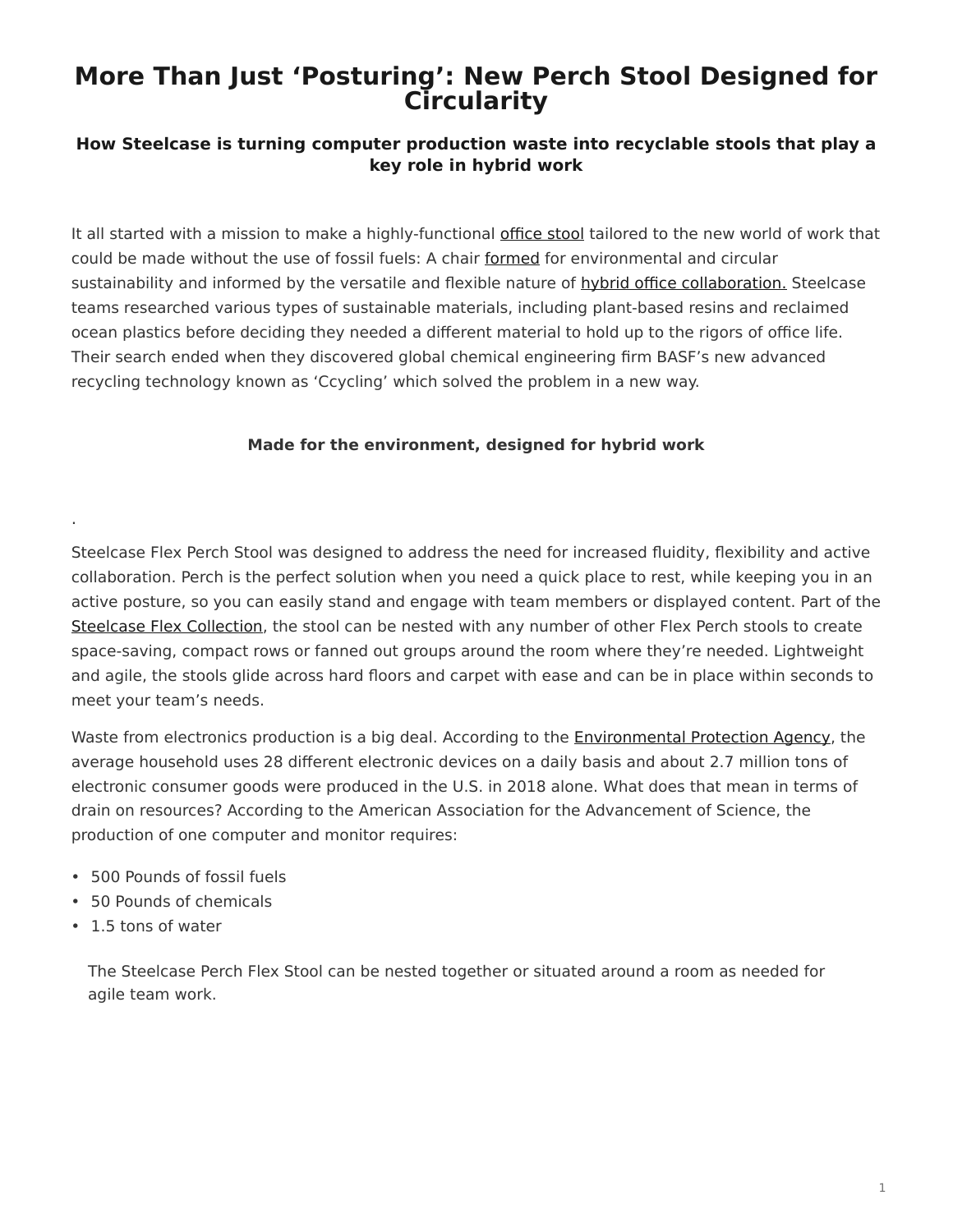# **More Than Just 'Posturing': New Perch Stool Designed for Circularity**

### **How Steelcase is turning computer production waste into recyclable stools that play a key role in hybrid work**

It all started with a mission to make a highly-functional [office stool](https://www.steelcase.com/asia-en/products/stools-poufs/steelcase-flex-perch-stool/) tailored to the new world of work that could be made without the use of fossil fuels: A chair [formed](https://www.steelcase.com/asia-en/products/stools-poufs/steelcase-flex-perch-stool/) for environmental and circular sustainability and informed by the versatile and flexible nature of [hybrid office collaboration.](https://www.steelcase.com/asia-en/spaces/hybrid-collection/) Steelcase teams researched various types of sustainable materials, including plant-based resins and reclaimed ocean plastics before deciding they needed a different material to hold up to the rigors of office life. Their search ended when they discovered global chemical engineering firm BASF's new advanced recycling technology known as 'Ccycling' which solved the problem in a new way.

#### **Made for the environment, designed for hybrid work**

Steelcase Flex Perch Stool was designed to address the need for increased fluidity, flexibility and active collaboration. Perch is the perfect solution when you need a quick place to rest, while keeping you in an active posture, so you can easily stand and engage with team members or displayed content. Part of the [Steelcase Flex Collection,](https://www.steelcase.com/asia-en/products/panels/steelcase-flex-collection/) the stool can be nested with any number of other Flex Perch stools to create space-saving, compact rows or fanned out groups around the room where they're needed. Lightweight and agile, the stools glide across hard floors and carpet with ease and can be in place within seconds to meet your team's needs.

Waste from electronics production is a big deal. According to the [Environmental Protection Agency,](https://www.epa.gov/smm-electronics/basic-information-about-electronics-stewardship) the average household uses 28 different electronic devices on a daily basis and about 2.7 million tons of electronic consumer goods were produced in the U.S. in 2018 alone. What does that mean in terms of drain on resources? According to the American Association for the Advancement of Science, the production of one computer and monitor requires:

- 500 Pounds of fossil fuels
- 50 Pounds of chemicals
- 1.5 tons of water

.

The Steelcase Perch Flex Stool can be nested together or situated around a room as needed for agile team work.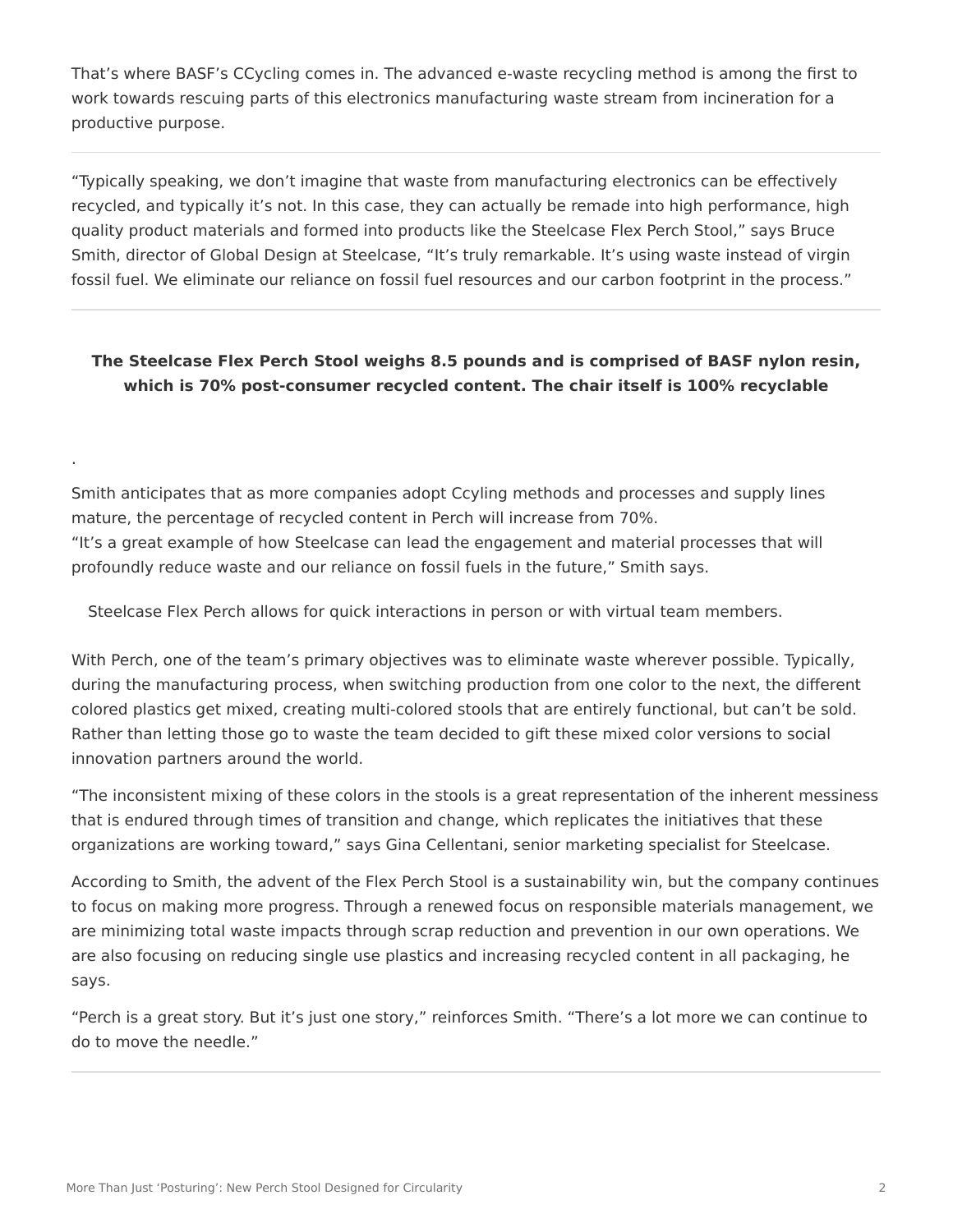That's where BASF's CCycling comes in. The advanced e-waste recycling method is among the first to work towards rescuing parts of this electronics manufacturing waste stream from incineration for a productive purpose.

"Typically speaking, we don't imagine that waste from manufacturing electronics can be effectively recycled, and typically it's not. In this case, they can actually be remade into high performance, high quality product materials and formed into products like the Steelcase Flex Perch Stool," says Bruce Smith, director of Global Design at Steelcase, "It's truly remarkable. It's using waste instead of virgin fossil fuel. We eliminate our reliance on fossil fuel resources and our carbon footprint in the process."

## **The Steelcase Flex Perch Stool weighs 8.5 pounds and is comprised of BASF nylon resin, which is 70% post-consumer recycled content. The chair itself is 100% recyclable**

Smith anticipates that as more companies adopt Ccyling methods and processes and supply lines mature, the percentage of recycled content in Perch will increase from 70%. "It's a great example of how Steelcase can lead the engagement and material processes that will profoundly reduce waste and our reliance on fossil fuels in the future," Smith says.

Steelcase Flex Perch allows for quick interactions in person or with virtual team members.

With Perch, one of the team's primary objectives was to eliminate waste wherever possible. Typically, during the manufacturing process, when switching production from one color to the next, the different colored plastics get mixed, creating multi-colored stools that are entirely functional, but can't be sold. Rather than letting those go to waste the team decided to gift these mixed color versions to social innovation partners around the world.

"The inconsistent mixing of these colors in the stools is a great representation of the inherent messiness that is endured through times of transition and change, which replicates the initiatives that these organizations are working toward," says Gina Cellentani, senior marketing specialist for Steelcase.

According to Smith, the advent of the Flex Perch Stool is a sustainability win, but the company continues to focus on making more progress. Through a renewed focus on responsible materials management, we are minimizing total waste impacts through scrap reduction and prevention in our own operations. We are also focusing on reducing single use plastics and increasing recycled content in all packaging, he says.

"Perch is a great story. But it's just one story," reinforces Smith. "There's a lot more we can continue to do to move the needle."

.